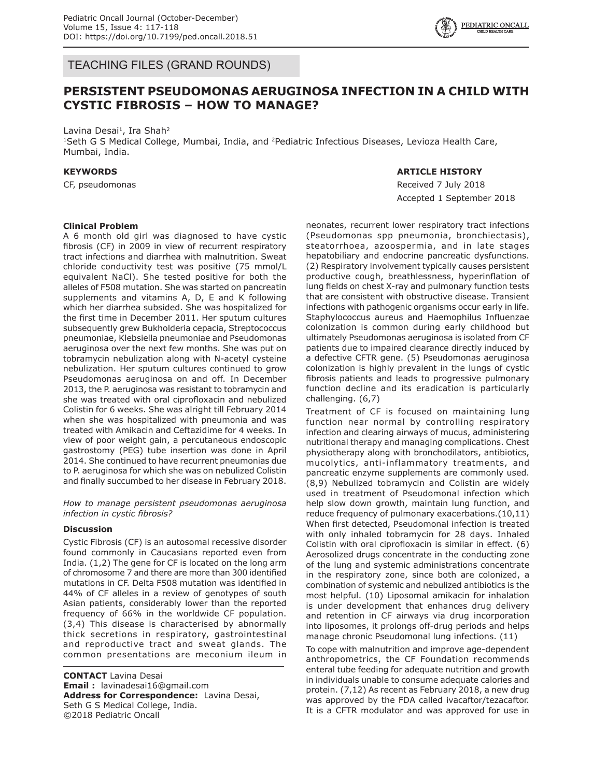

TEACHING FILES (GRAND ROUNDS)

# **PERSISTENT PSEUDOMONAS AERUGINOSA INFECTION IN A CHILD WITH CYSTIC FIBROSIS – HOW TO MANAGE?**

Lavina Desai<sup>1</sup>, Ira Shah<sup>2</sup>

<sup>1</sup>Seth G S Medical College, Mumbai, India, and <sup>2</sup>Pediatric Infectious Diseases, Levioza Health Care, Mumbai, India.

#### **KEYWORDS**

CF, pseudomonas

### **ARTICLE HISTORY**

Received 7 July 2018 Accepted 1 September 2018

#### **Clinical Problem**

A 6 month old girl was diagnosed to have cystic fibrosis (CF) in 2009 in view of recurrent respiratory tract infections and diarrhea with malnutrition. Sweat chloride conductivity test was positive (75 mmol/L equivalent NaCl). She tested positive for both the alleles of F508 mutation. She was started on pancreatin supplements and vitamins A, D, E and K following which her diarrhea subsided. She was hospitalized for the first time in December 2011. Her sputum cultures subsequently grew Bukholderia cepacia, Streptococcus pneumoniae, Klebsiella pneumoniae and Pseudomonas aeruginosa over the next few months. She was put on tobramycin nebulization along with N-acetyl cysteine nebulization. Her sputum cultures continued to grow Pseudomonas aeruginosa on and off. In December 2013, the P. aeruginosa was resistant to tobramycin and she was treated with oral ciprofloxacin and nebulized Colistin for 6 weeks. She was alright till February 2014 when she was hospitalized with pneumonia and was treated with Amikacin and Ceftazidime for 4 weeks. In view of poor weight gain, a percutaneous endoscopic gastrostomy (PEG) tube insertion was done in April 2014. She continued to have recurrent pneumonias due to P. aeruginosa for which she was on nebulized Colistin and finally succumbed to her disease in February 2018.

*How to manage persistent pseudomonas aeruginosa infection in cystic fibrosis?*

#### **Discussion**

Cystic Fibrosis (CF) is an autosomal recessive disorder found commonly in Caucasians reported even from India. (1,2) The gene for CF is located on the long arm of chromosome 7 and there are more than 300 identified mutations in CF. Delta F508 mutation was identified in 44% of CF alleles in a review of genotypes of south Asian patients, considerably lower than the reported frequency of 66% in the worldwide CF population. (3,4) This disease is characterised by abnormally thick secretions in respiratory, gastrointestinal and reproductive tract and sweat glands. The common presentations are meconium ileum in

**CONTACT** Lavina Desai **Email :** lavinadesai16@gmail.com **Address for Correspondence:** Lavina Desai, Seth G S Medical College, India. ©2018 Pediatric Oncall

neonates, recurrent lower respiratory tract infections (Pseudomonas spp pneumonia, bronchiectasis), steatorrhoea, azoospermia, and in late stages hepatobiliary and endocrine pancreatic dysfunctions. (2) Respiratory involvement typically causes persistent productive cough, breathlessness, hyperinflation of lung fields on chest X-ray and pulmonary function tests that are consistent with obstructive disease. Transient infections with pathogenic organisms occur early in life. Staphylococcus aureus and Haemophilus Influenzae colonization is common during early childhood but ultimately Pseudomonas aeruginosa is isolated from CF patients due to impaired clearance directly induced by a defective CFTR gene. (5) Pseudomonas aeruginosa colonization is highly prevalent in the lungs of cystic fibrosis patients and leads to progressive pulmonary function decline and its eradication is particularly challenging. (6,7)

Treatment of CF is focused on maintaining lung function near normal by controlling respiratory infection and clearing airways of mucus, administering nutritional therapy and managing complications. Chest physiotherapy along with bronchodilators, antibiotics, mucolytics, anti-inflammatory treatments, and pancreatic enzyme supplements are commonly used. (8,9) Nebulized tobramycin and Colistin are widely used in treatment of Pseudomonal infection which help slow down growth, maintain lung function, and reduce frequency of pulmonary exacerbations.(10,11) When first detected, Pseudomonal infection is treated with only inhaled tobramycin for 28 days. Inhaled Colistin with oral ciprofloxacin is similar in effect. (6) Aerosolized drugs concentrate in the conducting zone of the lung and systemic administrations concentrate in the respiratory zone, since both are colonized, a combination of systemic and nebulized antibiotics is the most helpful. (10) Liposomal amikacin for inhalation is under development that enhances drug delivery and retention in CF airways via drug incorporation into liposomes, it prolongs off-drug periods and helps manage chronic Pseudomonal lung infections. (11)

To cope with malnutrition and improve age-dependent anthropometrics, the CF Foundation recommends enteral tube feeding for adequate nutrition and growth in individuals unable to consume adequate calories and protein. (7,12) As recent as February 2018, a new drug was approved by the FDA called ivacaftor/tezacaftor. It is a CFTR modulator and was approved for use in